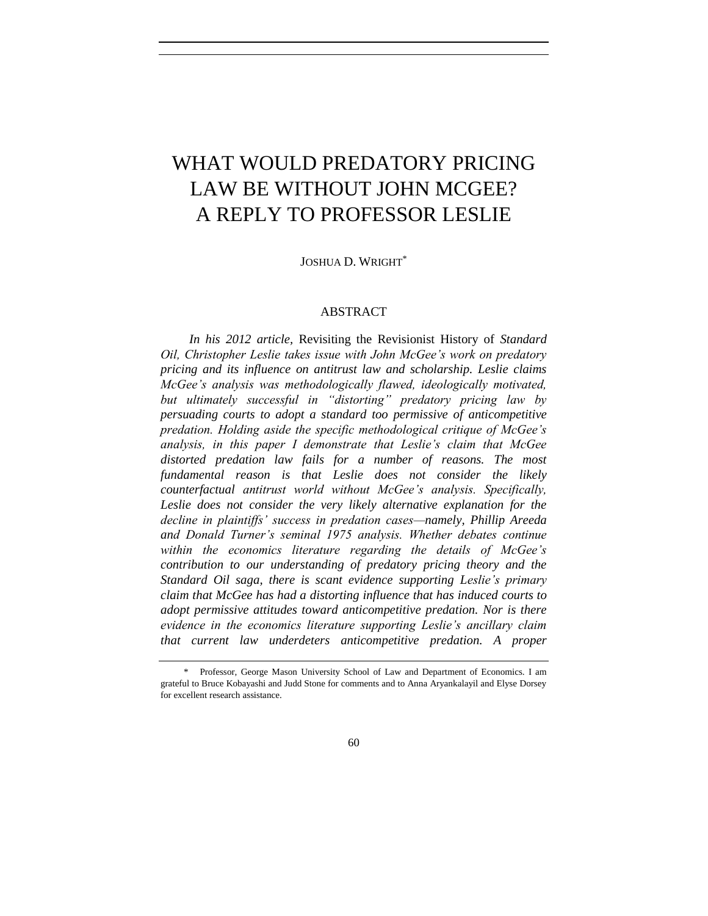# WHAT WOULD PREDATORY PRICING LAW BE WITHOUT JOHN MCGEE? A REPLY TO PROFESSOR LESLIE

JOSHUA D. WRIGHT\*

#### ABSTRACT

*In his 2012 article,* Revisiting the Revisionist History of *Standard Oil, Christopher Leslie takes issue with John McGee's work on predatory pricing and its influence on antitrust law and scholarship. Leslie claims McGee's analysis was methodologically flawed, ideologically motivated, but ultimately successful in "distorting" predatory pricing law by persuading courts to adopt a standard too permissive of anticompetitive predation. Holding aside the specific methodological critique of McGee's analysis, in this paper I demonstrate that Leslie's claim that McGee distorted predation law fails for a number of reasons. The most fundamental reason is that Leslie does not consider the likely counterfactual antitrust world without McGee's analysis. Specifically,*  Leslie does not consider the very likely alternative explanation for the *decline in plaintiffs' success in predation cases—namely, Phillip Areeda and Donald Turner's seminal 1975 analysis. Whether debates continue within the economics literature regarding the details of McGee's contribution to our understanding of predatory pricing theory and the Standard Oil saga, there is scant evidence supporting Leslie's primary claim that McGee has had a distorting influence that has induced courts to adopt permissive attitudes toward anticompetitive predation. Nor is there evidence in the economics literature supporting Leslie's ancillary claim that current law underdeters anticompetitive predation. A proper* 

<sup>\*</sup> Professor, George Mason University School of Law and Department of Economics. I am grateful to Bruce Kobayashi and Judd Stone for comments and to Anna Aryankalayil and Elyse Dorsey for excellent research assistance.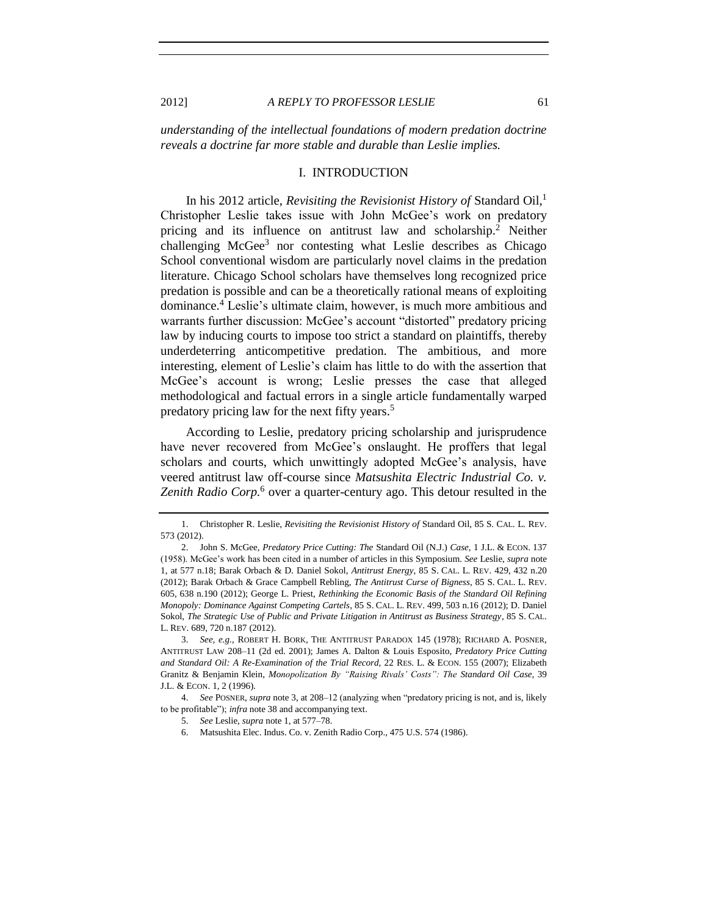#### 2012] *A REPLY TO PROFESSOR LESLIE* 61

*understanding of the intellectual foundations of modern predation doctrine reveals a doctrine far more stable and durable than Leslie implies.*

# <span id="page-1-2"></span><span id="page-1-1"></span><span id="page-1-0"></span>I. INTRODUCTION

In his 2012 article, *Revisiting the Revisionist History of Standard Oil*,<sup>1</sup> Christopher Leslie takes issue with John McGee's work on predatory pricing and its influence on antitrust law and scholarship.<sup>2</sup> Neither challenging  $McGee<sup>3</sup>$  nor contesting what Leslie describes as Chicago School conventional wisdom are particularly novel claims in the predation literature. Chicago School scholars have themselves long recognized price predation is possible and can be a theoretically rational means of exploiting dominance.<sup>4</sup> Leslie's ultimate claim, however, is much more ambitious and warrants further discussion: McGee's account "distorted" predatory pricing law by inducing courts to impose too strict a standard on plaintiffs, thereby underdeterring anticompetitive predation. The ambitious, and more interesting, element of Leslie's claim has little to do with the assertion that McGee's account is wrong; Leslie presses the case that alleged methodological and factual errors in a single article fundamentally warped predatory pricing law for the next fifty years.<sup>5</sup>

According to Leslie, predatory pricing scholarship and jurisprudence have never recovered from McGee's onslaught. He proffers that legal scholars and courts, which unwittingly adopted McGee's analysis, have veered antitrust law off-course since *Matsushita Electric Industrial Co. v. Zenith Radio Corp.*<sup>6</sup> over a quarter-century ago. This detour resulted in the

<sup>1.</sup> Christopher R. Leslie, *Revisiting the Revisionist History of* Standard Oil, 85 S. CAL. L. REV. 573 (2012).

<sup>2.</sup> John S. McGee, *Predatory Price Cutting: The* Standard Oil (N.J.) *Case*, 1 J.L. & ECON. 137 (1958). McGee's work has been cited in a number of articles in this Symposium. *See* Leslie, *supra* note [1,](#page-1-0) at 577 n.18; Barak Orbach & D. Daniel Sokol, *Antitrust Energy*, 85 S. CAL. L. REV. 429, 432 n.20 (2012); Barak Orbach & Grace Campbell Rebling, *The Antitrust Curse of Bigness*, 85 S. CAL. L. REV. 605, 638 n.190 (2012); George L. Priest, *Rethinking the Economic Basis of the Standard Oil Refining Monopoly: Dominance Against Competing Cartels*, 85 S. CAL. L. REV. 499, 503 n.16 (2012); D. Daniel Sokol, *The Strategic Use of Public and Private Litigation in Antitrust as Business Strategy*, 85 S. CAL. L. REV. 689, 720 n.187 (2012).

<sup>3.</sup> *See, e.g.*, ROBERT H. BORK, THE ANTITRUST PARADOX 145 (1978); RICHARD A. POSNER, ANTITRUST LAW 208–11 (2d ed. 2001); James A. Dalton & Louis Esposito, *Predatory Price Cutting and Standard Oil: A Re-Examination of the Trial Record*, 22 RES. L. & ECON. 155 (2007); Elizabeth Granitz & Benjamin Klein, *Monopolization By "Raising Rivals' Costs": The Standard Oil Case*, 39 J.L. & ECON. 1, 2 (1996).

<sup>4.</sup> *See* POSNER, *supra* not[e 3,](#page-1-1) at 208–12 (analyzing when "predatory pricing is not, and is, likely to be profitable"); *infra* not[e 38](#page-6-0) and accompanying text.

<sup>5.</sup> *See* Leslie, *supra* note [1,](#page-1-0) at 577–78.

<sup>6.</sup> Matsushita Elec. Indus. Co. v. Zenith Radio Corp., 475 U.S. 574 (1986).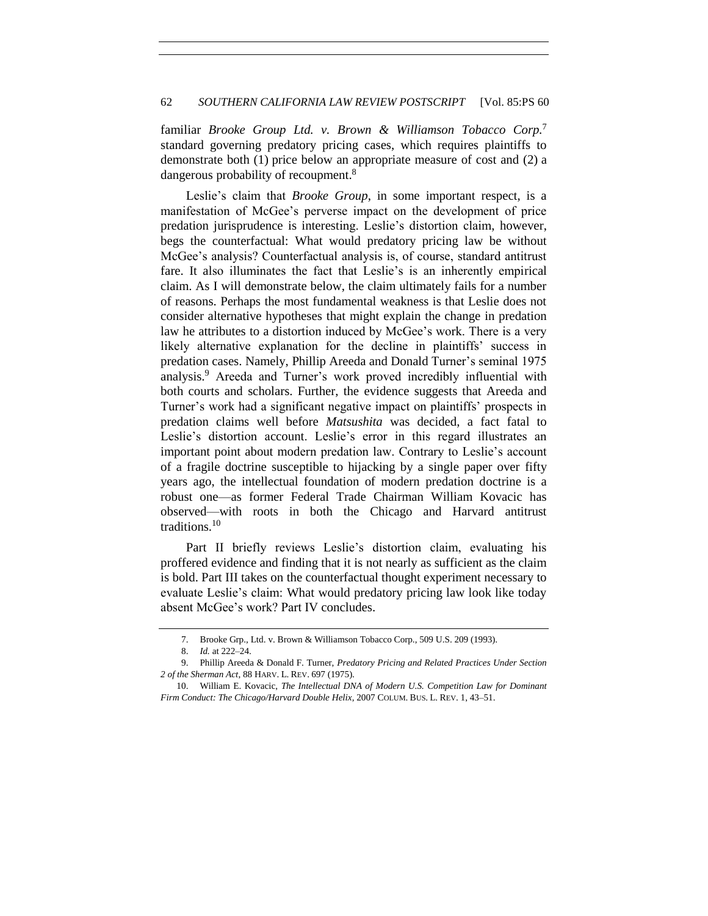#### 62 *SOUTHERN CALIFORNIA LAW REVIEW POSTSCRIPT* [Vol. 85:PS 60

familiar *Brooke Group Ltd. v. Brown & Williamson Tobacco Corp.*<sup>7</sup> standard governing predatory pricing cases, which requires plaintiffs to demonstrate both (1) price below an appropriate measure of cost and (2) a dangerous probability of recoupment.<sup>8</sup>

Leslie's claim that *Brooke Group*, in some important respect, is a manifestation of McGee's perverse impact on the development of price predation jurisprudence is interesting. Leslie's distortion claim, however, begs the counterfactual: What would predatory pricing law be without McGee's analysis? Counterfactual analysis is, of course, standard antitrust fare. It also illuminates the fact that Leslie's is an inherently empirical claim. As I will demonstrate below, the claim ultimately fails for a number of reasons. Perhaps the most fundamental weakness is that Leslie does not consider alternative hypotheses that might explain the change in predation law he attributes to a distortion induced by McGee's work. There is a very likely alternative explanation for the decline in plaintiffs' success in predation cases. Namely, Phillip Areeda and Donald Turner's seminal 1975 analysis.<sup>9</sup> Areeda and Turner's work proved incredibly influential with both courts and scholars. Further, the evidence suggests that Areeda and Turner's work had a significant negative impact on plaintiffs' prospects in predation claims well before *Matsushita* was decided, a fact fatal to Leslie's distortion account. Leslie's error in this regard illustrates an important point about modern predation law. Contrary to Leslie's account of a fragile doctrine susceptible to hijacking by a single paper over fifty years ago, the intellectual foundation of modern predation doctrine is a robust one—as former Federal Trade Chairman William Kovacic has observed—with roots in both the Chicago and Harvard antitrust traditions.<sup>10</sup>

<span id="page-2-1"></span><span id="page-2-0"></span>Part II briefly reviews Leslie's distortion claim, evaluating his proffered evidence and finding that it is not nearly as sufficient as the claim is bold. Part III takes on the counterfactual thought experiment necessary to evaluate Leslie's claim: What would predatory pricing law look like today absent McGee's work? Part IV concludes.

<sup>7.</sup> Brooke Grp., Ltd. v. Brown & Williamson Tobacco Corp., 509 U.S. 209 (1993).

<sup>8.</sup> *Id.* at 222–24.

<sup>9.</sup> Phillip Areeda & Donald F. Turner, *Predatory Pricing and Related Practices Under Section 2 of the Sherman Act*, 88 HARV. L. REV. 697 (1975).

<sup>10.</sup> William E. Kovacic, *The Intellectual DNA of Modern U.S. Competition Law for Dominant Firm Conduct: The Chicago/Harvard Double Helix*, 2007 COLUM. BUS. L. REV. 1, 43–51.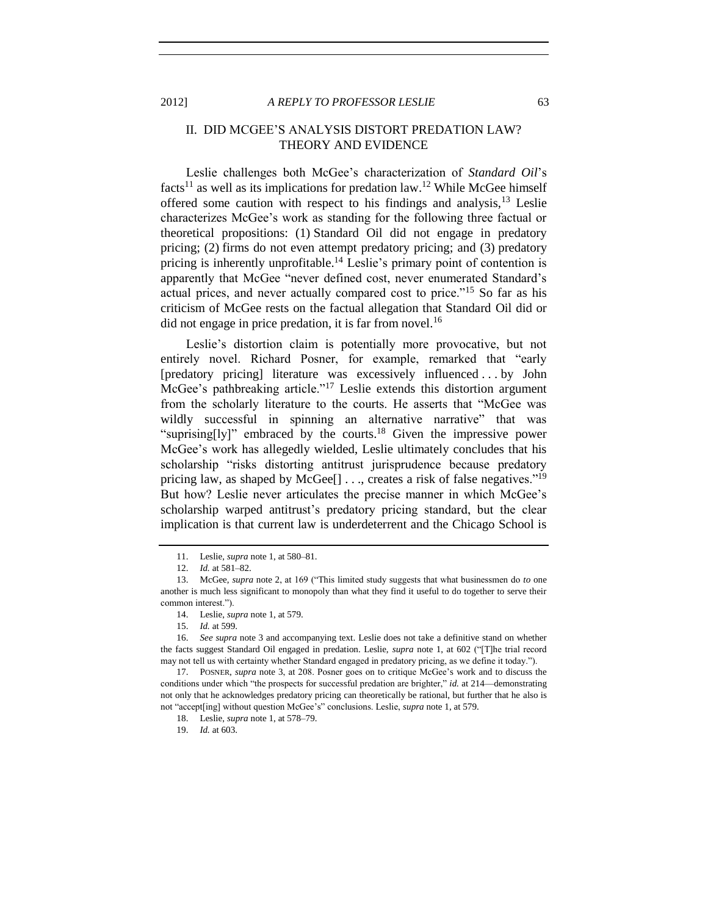# II. DID MCGEE'S ANALYSIS DISTORT PREDATION LAW? THEORY AND EVIDENCE

Leslie challenges both McGee's characterization of *Standard Oil*'s facts<sup>11</sup> as well as its implications for predation law.<sup>12</sup> While McGee himself offered some caution with respect to his findings and analysis,<sup>13</sup> Leslie characterizes McGee's work as standing for the following three factual or theoretical propositions: (1) Standard Oil did not engage in predatory pricing; (2) firms do not even attempt predatory pricing; and (3) predatory pricing is inherently unprofitable.<sup>14</sup> Leslie's primary point of contention is apparently that McGee "never defined cost, never enumerated Standard's actual prices, and never actually compared cost to price."<sup>15</sup> So far as his criticism of McGee rests on the factual allegation that Standard Oil did or did not engage in price predation, it is far from novel.<sup>16</sup>

Leslie's distortion claim is potentially more provocative, but not entirely novel. Richard Posner, for example, remarked that "early [predatory pricing] literature was excessively influenced . . . by John McGee's pathbreaking article."<sup>17</sup> Leslie extends this distortion argument from the scholarly literature to the courts. He asserts that "McGee was wildly successful in spinning an alternative narrative" that was "suprising[ly]" embraced by the courts.<sup>18</sup> Given the impressive power McGee's work has allegedly wielded, Leslie ultimately concludes that his scholarship "risks distorting antitrust jurisprudence because predatory pricing law, as shaped by McGee<sup>[]</sup> . . ., creates a risk of false negatives.<sup>"19</sup> But how? Leslie never articulates the precise manner in which McGee's scholarship warped antitrust's predatory pricing standard, but the clear implication is that current law is underdeterrent and the Chicago School is

<sup>11.</sup> Leslie, *supra* not[e 1,](#page-1-0) at 580–81.

<sup>12.</sup> *Id.* at 581–82.

<sup>13.</sup> McGee, *supra* note [2,](#page-1-2) at 169 ("This limited study suggests that what businessmen do *to* one another is much less significant to monopoly than what they find it useful to do together to serve their common interest.").

<sup>14.</sup> Leslie, *supra* not[e 1,](#page-1-0) at 579.

<sup>15.</sup> *Id.* at 599.

<sup>16.</sup> *See supra* not[e 3](#page-1-1) and accompanying text. Leslie does not take a definitive stand on whether the facts suggest Standard Oil engaged in predation. Leslie, *supra* note [1,](#page-1-0) at 602 ("[T]he trial record may not tell us with certainty whether Standard engaged in predatory pricing, as we define it today.").

<sup>17.</sup> POSNER, *supra* note [3,](#page-1-1) at 208. Posner goes on to critique McGee's work and to discuss the conditions under which "the prospects for successful predation are brighter," *id.* at 214—demonstrating not only that he acknowledges predatory pricing can theoretically be rational, but further that he also is not "accept[ing] without question McGee's" conclusions. Leslie, *supra* not[e 1,](#page-1-0) at 579.

<sup>18.</sup> Leslie, *supra* not[e 1,](#page-1-0) at 578–79.

<sup>19.</sup> *Id.* at 603.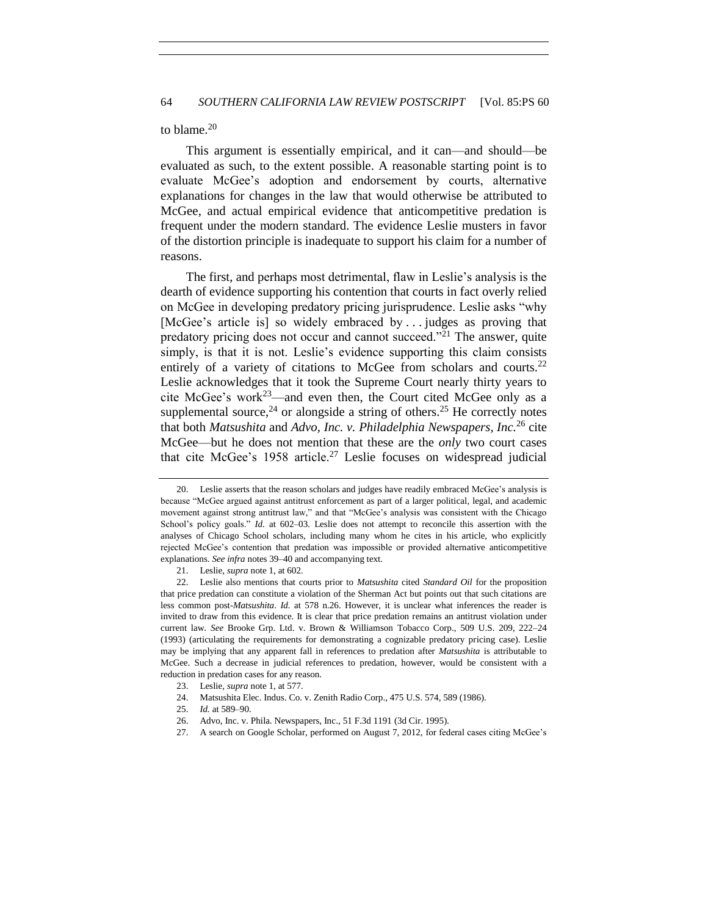#### to blame.<sup>20</sup>

This argument is essentially empirical, and it can—and should—be evaluated as such, to the extent possible. A reasonable starting point is to evaluate McGee's adoption and endorsement by courts, alternative explanations for changes in the law that would otherwise be attributed to McGee, and actual empirical evidence that anticompetitive predation is frequent under the modern standard. The evidence Leslie musters in favor of the distortion principle is inadequate to support his claim for a number of reasons.

The first, and perhaps most detrimental, flaw in Leslie's analysis is the dearth of evidence supporting his contention that courts in fact overly relied on McGee in developing predatory pricing jurisprudence. Leslie asks "why [McGee's article is] so widely embraced by ... judges as proving that predatory pricing does not occur and cannot succeed."<sup>21</sup> The answer, quite simply, is that it is not. Leslie's evidence supporting this claim consists entirely of a variety of citations to McGee from scholars and courts.<sup>22</sup> Leslie acknowledges that it took the Supreme Court nearly thirty years to cite McGee's work<sup>23</sup>—and even then, the Court cited McGee only as a supplemental source,  $24$  or alongside a string of others.  $25$  He correctly notes that both *Matsushita* and *Advo, Inc. v. Philadelphia Newspapers, Inc.*<sup>26</sup> cite McGee—but he does not mention that these are the *only* two court cases that cite McGee's 1958 article.<sup>27</sup> Leslie focuses on widespread judicial

<span id="page-4-0"></span><sup>20.</sup> Leslie asserts that the reason scholars and judges have readily embraced McGee's analysis is because "McGee argued against antitrust enforcement as part of a larger political, legal, and academic movement against strong antitrust law," and that "McGee's analysis was consistent with the Chicago School's policy goals." *Id.* at 602–03. Leslie does not attempt to reconcile this assertion with the analyses of Chicago School scholars, including many whom he cites in his article, who explicitly rejected McGee's contention that predation was impossible or provided alternative anticompetitive explanations. *See infra* note[s 39](#page-6-1)[–40](#page-7-0) and accompanying text.

<sup>21.</sup> Leslie, *supra* not[e 1,](#page-1-0) at 602.

<sup>22.</sup> Leslie also mentions that courts prior to *Matsushita* cited *Standard Oil* for the proposition that price predation can constitute a violation of the Sherman Act but points out that such citations are less common post-*Matsushita*. *Id.* at 578 n.26. However, it is unclear what inferences the reader is invited to draw from this evidence. It is clear that price predation remains an antitrust violation under current law. *See* Brooke Grp. Ltd. v. Brown & Williamson Tobacco Corp., 509 U.S. 209, 222–24 (1993) (articulating the requirements for demonstrating a cognizable predatory pricing case). Leslie may be implying that any apparent fall in references to predation after *Matsushita* is attributable to McGee. Such a decrease in judicial references to predation, however, would be consistent with a reduction in predation cases for any reason.

<sup>23.</sup> Leslie, *supra* not[e 1,](#page-1-0) at 577.

<sup>24.</sup> Matsushita Elec. Indus. Co. v. Zenith Radio Corp., 475 U.S. 574, 589 (1986).

<sup>25.</sup> *Id.* at 589–90.

<sup>26.</sup> Advo, Inc. v. Phila. Newspapers, Inc., 51 F.3d 1191 (3d Cir. 1995).

<sup>27.</sup> A search on Google Scholar, performed on August 7, 2012, for federal cases citing McGee's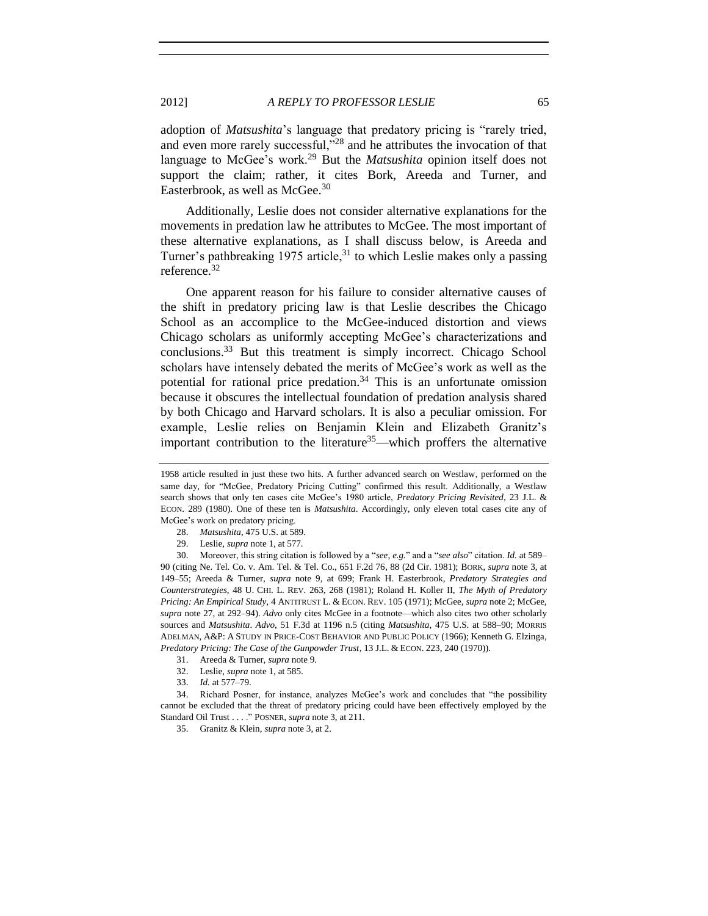adoption of *Matsushita*'s language that predatory pricing is "rarely tried, and even more rarely successful,"<sup>28</sup> and he attributes the invocation of that language to McGee's work.<sup>29</sup> But the *Matsushita* opinion itself does not support the claim; rather, it cites Bork, Areeda and Turner, and Easterbrook, as well as McGee.<sup>30</sup>

<span id="page-5-0"></span>Additionally, Leslie does not consider alternative explanations for the movements in predation law he attributes to McGee. The most important of these alternative explanations, as I shall discuss below, is Areeda and Turner's pathbreaking 1975 article, $31$  to which Leslie makes only a passing reference.<sup>32</sup>

One apparent reason for his failure to consider alternative causes of the shift in predatory pricing law is that Leslie describes the Chicago School as an accomplice to the McGee-induced distortion and views Chicago scholars as uniformly accepting McGee's characterizations and conclusions.<sup>33</sup> But this treatment is simply incorrect. Chicago School scholars have intensely debated the merits of McGee's work as well as the potential for rational price predation.<sup>34</sup> This is an unfortunate omission because it obscures the intellectual foundation of predation analysis shared by both Chicago and Harvard scholars. It is also a peculiar omission. For example, Leslie relies on Benjamin Klein and Elizabeth Granitz's important contribution to the literature<sup>35</sup>—which proffers the alternative

30. Moreover, this string citation is followed by a "*see, e.g.*" and a "*see also*" citation. *Id.* at 589– 90 (citing Ne. Tel. Co. v. Am. Tel. & Tel. Co., 651 F.2d 76, 88 (2d Cir. 1981); BORK, *supra* note [3,](#page-1-1) at 149–55; Areeda & Turner, *supra* note [9,](#page-2-0) at 699; Frank H. Easterbrook, *Predatory Strategies and Counterstrategies*, 48 U. CHI. L. REV. 263, 268 (1981); Roland H. Koller II, *The Myth of Predatory Pricing: An Empirical Study*, 4 ANTITRUST L. & ECON. REV. 105 (1971); McGee, *supra* not[e 2;](#page-1-2) McGee, *supra* note [27,](#page-4-0) at 292–94). *Advo* only cites McGee in a footnote—which also cites two other scholarly sources and *Matsushita*. *Advo*, 51 F.3d at 1196 n.5 (citing *Matsushita*, 475 U.S. at 588–90; MORRIS ADELMAN, A&P: A STUDY IN PRICE-COST BEHAVIOR AND PUBLIC POLICY (1966); Kenneth G. Elzinga, *Predatory Pricing: The Case of the Gunpowder Trust*, 13 J.L. & ECON. 223, 240 (1970)).

<sup>1958</sup> article resulted in just these two hits. A further advanced search on Westlaw, performed on the same day, for "McGee, Predatory Pricing Cutting" confirmed this result. Additionally, a Westlaw search shows that only ten cases cite McGee's 1980 article, *Predatory Pricing Revisited*, 23 J.L. & ECON. 289 (1980). One of these ten is *Matsushita*. Accordingly, only eleven total cases cite any of McGee's work on predatory pricing.

<sup>28.</sup> *Matsushita*, 475 U.S. at 589.

<sup>29.</sup> Leslie, *supra* note 1, at 577.

<sup>31.</sup> Areeda & Turner, *supra* not[e 9.](#page-2-0)

<sup>32.</sup> Leslie, *supra* not[e 1,](#page-1-0) at 585.

<sup>33.</sup> *Id.* at 577–79.

<sup>34.</sup> Richard Posner, for instance, analyzes McGee's work and concludes that "the possibility cannot be excluded that the threat of predatory pricing could have been effectively employed by the Standard Oil Trust . . . ." POSNER, *supra* note [3,](#page-1-1) at 211.

<sup>35.</sup> Granitz & Klein, *supra* not[e 3,](#page-1-1) at 2.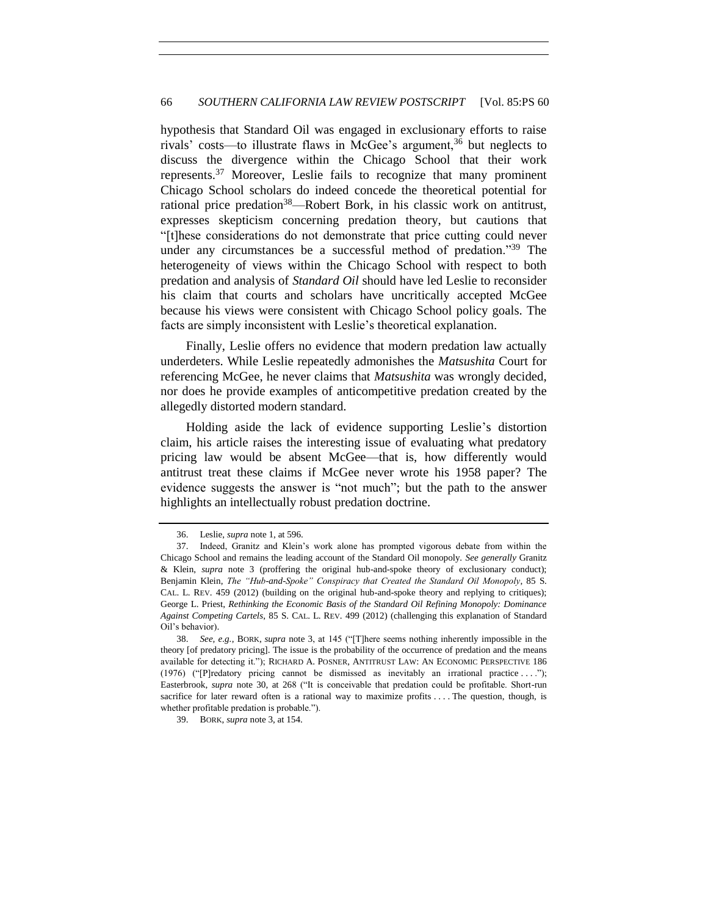<span id="page-6-0"></span>hypothesis that Standard Oil was engaged in exclusionary efforts to raise rivals' costs—to illustrate flaws in McGee's argument,<sup>36</sup> but neglects to discuss the divergence within the Chicago School that their work represents.<sup>37</sup> Moreover, Leslie fails to recognize that many prominent Chicago School scholars do indeed concede the theoretical potential for rational price predation<sup>38</sup>—Robert Bork, in his classic work on antitrust, expresses skepticism concerning predation theory, but cautions that "[t]hese considerations do not demonstrate that price cutting could never under any circumstances be a successful method of predation."<sup>39</sup> The heterogeneity of views within the Chicago School with respect to both predation and analysis of *Standard Oil* should have led Leslie to reconsider his claim that courts and scholars have uncritically accepted McGee because his views were consistent with Chicago School policy goals. The facts are simply inconsistent with Leslie's theoretical explanation.

<span id="page-6-1"></span>Finally, Leslie offers no evidence that modern predation law actually underdeters. While Leslie repeatedly admonishes the *Matsushita* Court for referencing McGee, he never claims that *Matsushita* was wrongly decided, nor does he provide examples of anticompetitive predation created by the allegedly distorted modern standard.

Holding aside the lack of evidence supporting Leslie's distortion claim, his article raises the interesting issue of evaluating what predatory pricing law would be absent McGee—that is, how differently would antitrust treat these claims if McGee never wrote his 1958 paper? The evidence suggests the answer is "not much"; but the path to the answer highlights an intellectually robust predation doctrine.

<sup>36.</sup> Leslie, *supra* not[e 1,](#page-1-0) at 596.

<sup>37.</sup> Indeed, Granitz and Klein's work alone has prompted vigorous debate from within the Chicago School and remains the leading account of the Standard Oil monopoly. *See generally* Granitz & Klein, *supra* note [3](#page-1-1) (proffering the original hub-and-spoke theory of exclusionary conduct); Benjamin Klein, *The "Hub-and-Spoke" Conspiracy that Created the Standard Oil Monopoly*, 85 S. CAL. L. REV. 459 (2012) (building on the original hub-and-spoke theory and replying to critiques); George L. Priest, *Rethinking the Economic Basis of the Standard Oil Refining Monopoly: Dominance Against Competing Cartels*, 85 S. CAL. L. REV. 499 (2012) (challenging this explanation of Standard Oil's behavior).

<sup>38.</sup> *See, e.g.*, BORK, *supra* note [3,](#page-1-1) at 145 ("[T]here seems nothing inherently impossible in the theory [of predatory pricing]. The issue is the probability of the occurrence of predation and the means available for detecting it."); RICHARD A. POSNER, ANTITRUST LAW: AN ECONOMIC PERSPECTIVE 186 (1976) ("[P]redatory pricing cannot be dismissed as inevitably an irrational practice . . . ."); Easterbrook, *supra* note [30,](#page-5-0) at 268 ("It is conceivable that predation could be profitable. Short-run sacrifice for later reward often is a rational way to maximize profits ... . The question, though, is whether profitable predation is probable.").

<sup>39.</sup> BORK, *supra* not[e 3,](#page-1-1) at 154.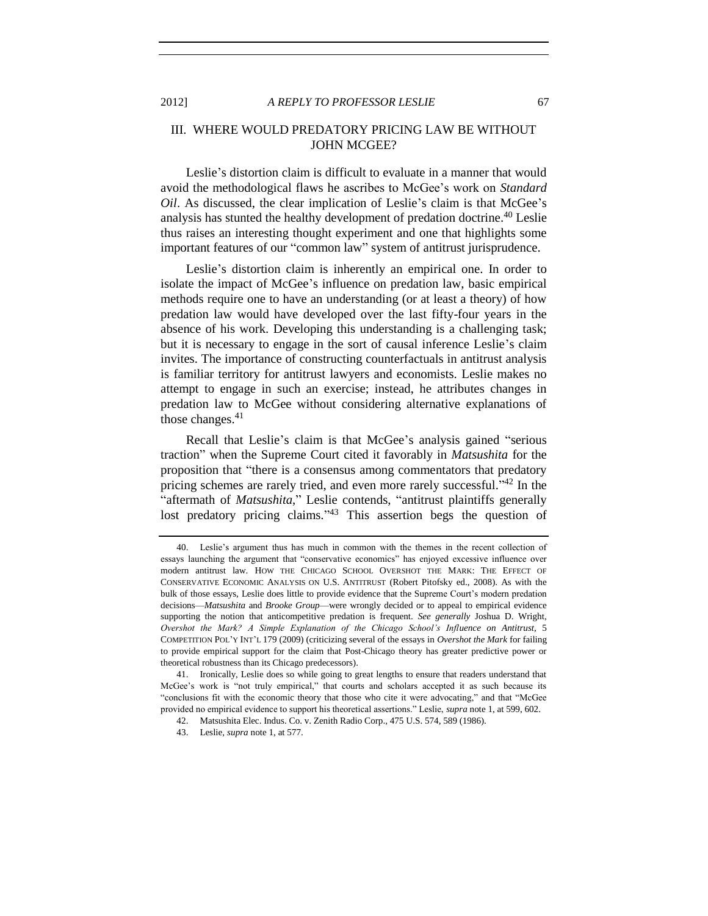# <span id="page-7-0"></span>III. WHERE WOULD PREDATORY PRICING LAW BE WITHOUT JOHN MCGEE?

Leslie's distortion claim is difficult to evaluate in a manner that would avoid the methodological flaws he ascribes to McGee's work on *Standard Oil*. As discussed, the clear implication of Leslie's claim is that McGee's analysis has stunted the healthy development of predation doctrine.<sup>40</sup> Leslie thus raises an interesting thought experiment and one that highlights some important features of our "common law" system of antitrust jurisprudence.

Leslie's distortion claim is inherently an empirical one. In order to isolate the impact of McGee's influence on predation law, basic empirical methods require one to have an understanding (or at least a theory) of how predation law would have developed over the last fifty-four years in the absence of his work. Developing this understanding is a challenging task; but it is necessary to engage in the sort of causal inference Leslie's claim invites. The importance of constructing counterfactuals in antitrust analysis is familiar territory for antitrust lawyers and economists. Leslie makes no attempt to engage in such an exercise; instead, he attributes changes in predation law to McGee without considering alternative explanations of those changes. $41$ 

Recall that Leslie's claim is that McGee's analysis gained "serious traction" when the Supreme Court cited it favorably in *Matsushita* for the proposition that "there is a consensus among commentators that predatory pricing schemes are rarely tried, and even more rarely successful."<sup>42</sup> In the "aftermath of *Matsushita*," Leslie contends, "antitrust plaintiffs generally lost predatory pricing claims."<sup>43</sup> This assertion begs the question of

<sup>40.</sup> Leslie's argument thus has much in common with the themes in the recent collection of essays launching the argument that "conservative economics" has enjoyed excessive influence over modern antitrust law. HOW THE CHICAGO SCHOOL OVERSHOT THE MARK: THE EFFECT OF CONSERVATIVE ECONOMIC ANALYSIS ON U.S. ANTITRUST (Robert Pitofsky ed., 2008). As with the bulk of those essays, Leslie does little to provide evidence that the Supreme Court's modern predation decisions—*Matsushita* and *Brooke Group*—were wrongly decided or to appeal to empirical evidence supporting the notion that anticompetitive predation is frequent. *See generally* Joshua D. Wright, *Overshot the Mark? A Simple Explanation of the Chicago School's Influence on Antitrust*, 5 COMPETITION POL'Y INT'L 179 (2009) (criticizing several of the essays in *Overshot the Mark* for failing to provide empirical support for the claim that Post-Chicago theory has greater predictive power or theoretical robustness than its Chicago predecessors).

<sup>41.</sup> Ironically, Leslie does so while going to great lengths to ensure that readers understand that McGee's work is "not truly empirical," that courts and scholars accepted it as such because its "conclusions fit with the economic theory that those who cite it were advocating," and that "McGee provided no empirical evidence to support his theoretical assertions." Leslie, *supra* not[e 1,](#page-1-0) at 599, 602.

<sup>42.</sup> Matsushita Elec. Indus. Co. v. Zenith Radio Corp., 475 U.S. 574, 589 (1986).

<sup>43.</sup> Leslie, *supra* not[e 1,](#page-1-0) at 577.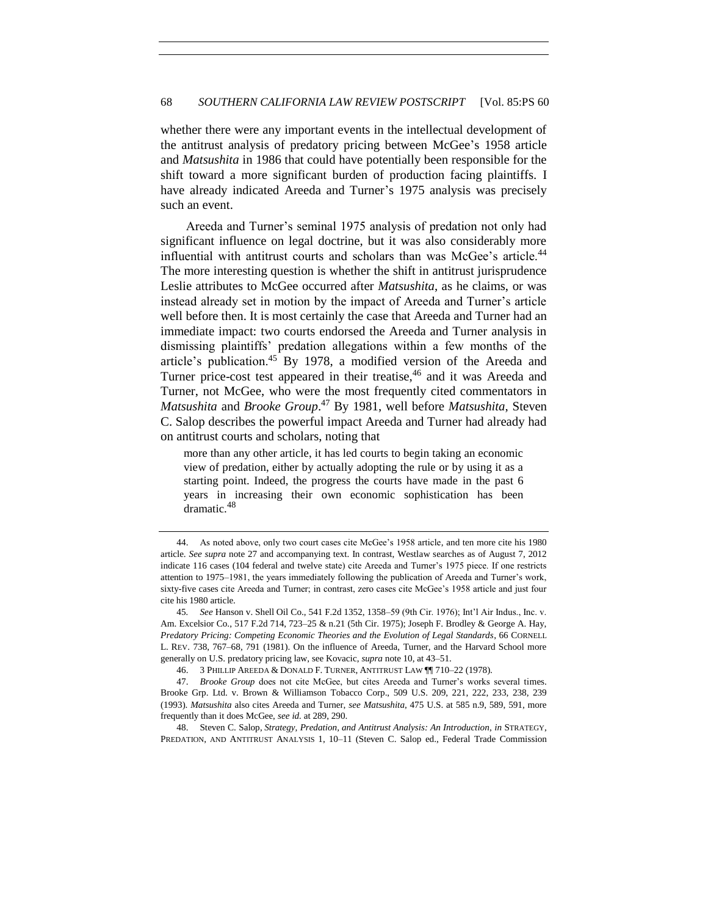whether there were any important events in the intellectual development of the antitrust analysis of predatory pricing between McGee's 1958 article and *Matsushita* in 1986 that could have potentially been responsible for the shift toward a more significant burden of production facing plaintiffs. I have already indicated Areeda and Turner's 1975 analysis was precisely such an event.

Areeda and Turner's seminal 1975 analysis of predation not only had significant influence on legal doctrine, but it was also considerably more influential with antitrust courts and scholars than was McGee's article.<sup>44</sup> The more interesting question is whether the shift in antitrust jurisprudence Leslie attributes to McGee occurred after *Matsushita*, as he claims, or was instead already set in motion by the impact of Areeda and Turner's article well before then. It is most certainly the case that Areeda and Turner had an immediate impact: two courts endorsed the Areeda and Turner analysis in dismissing plaintiffs' predation allegations within a few months of the article's publication.<sup>45</sup> By 1978, a modified version of the Areeda and Turner price-cost test appeared in their treatise,<sup>46</sup> and it was Areeda and Turner, not McGee, who were the most frequently cited commentators in *Matsushita* and *Brooke Group*. <sup>47</sup> By 1981, well before *Matsushita*, Steven C. Salop describes the powerful impact Areeda and Turner had already had on antitrust courts and scholars, noting that

<span id="page-8-0"></span>more than any other article, it has led courts to begin taking an economic view of predation, either by actually adopting the rule or by using it as a starting point. Indeed, the progress the courts have made in the past 6 years in increasing their own economic sophistication has been dramatic.<sup>48</sup>

48. Steven C. Salop, *Strategy, Predation, and Antitrust Analysis: An Introduction*, *in* STRATEGY, PREDATION, AND ANTITRUST ANALYSIS 1, 10–11 (Steven C. Salop ed., Federal Trade Commission

<sup>44.</sup> As noted above, only two court cases cite McGee's 1958 article, and ten more cite his 1980 article. *See supra* note [27](#page-4-0) and accompanying text. In contrast, Westlaw searches as of August 7, 2012 indicate 116 cases (104 federal and twelve state) cite Areeda and Turner's 1975 piece. If one restricts attention to 1975–1981, the years immediately following the publication of Areeda and Turner's work, sixty-five cases cite Areeda and Turner; in contrast, zero cases cite McGee's 1958 article and just four cite his 1980 article.

<sup>45</sup>*. See* Hanson v. Shell Oil Co., 541 F.2d 1352, 1358–59 (9th Cir. 1976); Int'l Air Indus., Inc. v. Am. Excelsior Co., 517 F.2d 714, 723–25 & n.21 (5th Cir. 1975); Joseph F. Brodley & George A. Hay, *Predatory Pricing: Competing Economic Theories and the Evolution of Legal Standards*, 66 CORNELL L. REV. 738, 767–68, 791 (1981). On the influence of Areeda, Turner, and the Harvard School more generally on U.S. predatory pricing law, see Kovacic, *supra* not[e 10,](#page-2-1) at 43–51.

<sup>46.</sup> 3 PHILLIP AREEDA & DONALD F. TURNER, ANTITRUST LAW ¶¶ 710–22 (1978).

<sup>47.</sup> *Brooke Group* does not cite McGee, but cites Areeda and Turner's works several times. Brooke Grp. Ltd. v. Brown & Williamson Tobacco Corp., 509 U.S. 209, 221, 222, 233, 238, 239 (1993). *Matsushita* also cites Areeda and Turner, *see Matsushita*, 475 U.S. at 585 n.9, 589, 591, more frequently than it does McGee, *see id.* at 289, 290.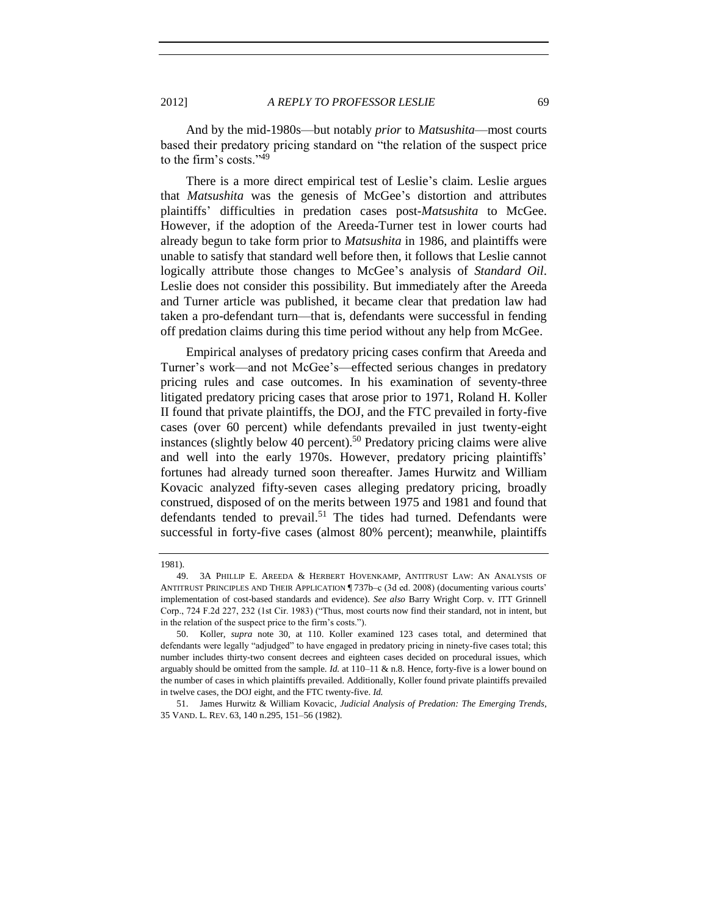And by the mid-1980s—but notably *prior* to *Matsushita*—most courts based their predatory pricing standard on "the relation of the suspect price to the firm's costs." 49

<span id="page-9-0"></span>There is a more direct empirical test of Leslie's claim. Leslie argues that *Matsushita* was the genesis of McGee's distortion and attributes plaintiffs' difficulties in predation cases post-*Matsushita* to McGee. However, if the adoption of the Areeda-Turner test in lower courts had already begun to take form prior to *Matsushita* in 1986, and plaintiffs were unable to satisfy that standard well before then, it follows that Leslie cannot logically attribute those changes to McGee's analysis of *Standard Oil*. Leslie does not consider this possibility. But immediately after the Areeda and Turner article was published, it became clear that predation law had taken a pro-defendant turn—that is, defendants were successful in fending off predation claims during this time period without any help from McGee.

Empirical analyses of predatory pricing cases confirm that Areeda and Turner's work—and not McGee's—effected serious changes in predatory pricing rules and case outcomes. In his examination of seventy-three litigated predatory pricing cases that arose prior to 1971, Roland H. Koller II found that private plaintiffs, the DOJ, and the FTC prevailed in forty-five cases (over 60 percent) while defendants prevailed in just twenty-eight instances (slightly below 40 percent).<sup>50</sup> Predatory pricing claims were alive and well into the early 1970s. However, predatory pricing plaintiffs' fortunes had already turned soon thereafter. James Hurwitz and William Kovacic analyzed fifty-seven cases alleging predatory pricing, broadly construed, disposed of on the merits between 1975 and 1981 and found that defendants tended to prevail.<sup>51</sup> The tides had turned. Defendants were successful in forty-five cases (almost 80% percent); meanwhile, plaintiffs

<sup>1981).</sup>

<sup>49.</sup> 3A PHILLIP E. AREEDA & HERBERT HOVENKAMP, ANTITRUST LAW: AN ANALYSIS OF ANTITRUST PRINCIPLES AND THEIR APPLICATION ¶ 737b–c (3d ed. 2008) (documenting various courts' implementation of cost-based standards and evidence). *See also* Barry Wright Corp. v. ITT Grinnell Corp., 724 F.2d 227, 232 (1st Cir. 1983) ("Thus, most courts now find their standard, not in intent, but in the relation of the suspect price to the firm's costs.").

<sup>50.</sup> Koller, *supra* note [30,](#page-5-0) at 110. Koller examined 123 cases total, and determined that defendants were legally "adjudged" to have engaged in predatory pricing in ninety-five cases total; this number includes thirty-two consent decrees and eighteen cases decided on procedural issues, which arguably should be omitted from the sample. *Id.* at 110–11 & n.8. Hence, forty-five is a lower bound on the number of cases in which plaintiffs prevailed. Additionally, Koller found private plaintiffs prevailed in twelve cases, the DOJ eight, and the FTC twenty-five. *Id.*

<sup>51.</sup> James Hurwitz & William Kovacic, *Judicial Analysis of Predation: The Emerging Trends*, 35 VAND. L. REV. 63, 140 n.295, 151–56 (1982).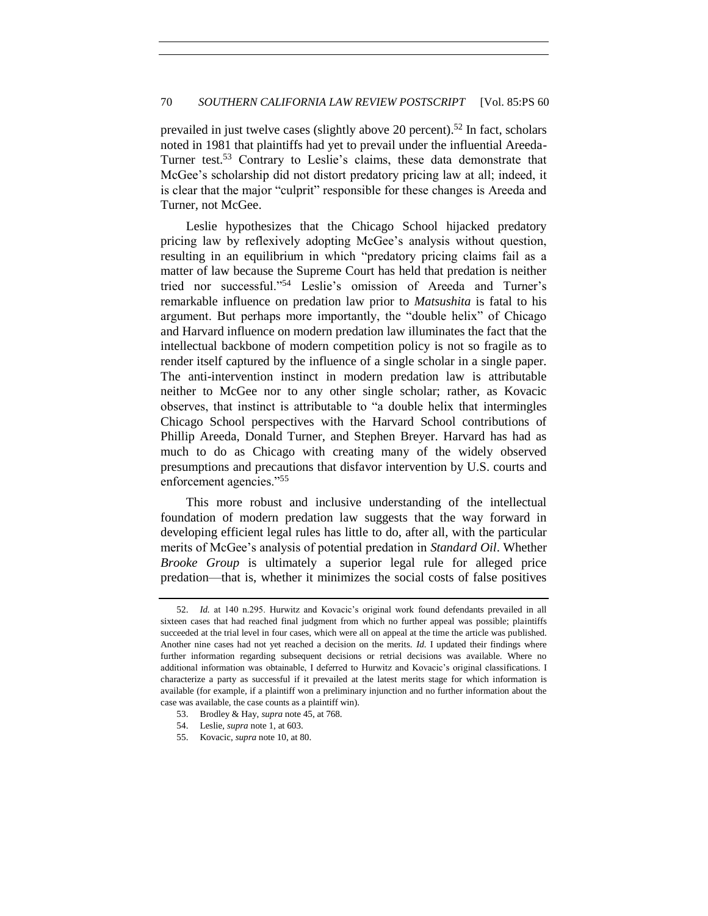prevailed in just twelve cases (slightly above 20 percent).<sup>52</sup> In fact, scholars noted in 1981 that plaintiffs had yet to prevail under the influential Areeda-Turner test.<sup>53</sup> Contrary to Leslie's claims, these data demonstrate that McGee's scholarship did not distort predatory pricing law at all; indeed, it is clear that the major "culprit" responsible for these changes is Areeda and Turner, not McGee.

Leslie hypothesizes that the Chicago School hijacked predatory pricing law by reflexively adopting McGee's analysis without question, resulting in an equilibrium in which "predatory pricing claims fail as a matter of law because the Supreme Court has held that predation is neither tried nor successful."<sup>54</sup> Leslie's omission of Areeda and Turner's remarkable influence on predation law prior to *Matsushita* is fatal to his argument. But perhaps more importantly, the "double helix" of Chicago and Harvard influence on modern predation law illuminates the fact that the intellectual backbone of modern competition policy is not so fragile as to render itself captured by the influence of a single scholar in a single paper. The anti-intervention instinct in modern predation law is attributable neither to McGee nor to any other single scholar; rather, as Kovacic observes, that instinct is attributable to "a double helix that intermingles Chicago School perspectives with the Harvard School contributions of Phillip Areeda, Donald Turner, and Stephen Breyer. Harvard has had as much to do as Chicago with creating many of the widely observed presumptions and precautions that disfavor intervention by U.S. courts and enforcement agencies."<sup>55</sup>

This more robust and inclusive understanding of the intellectual foundation of modern predation law suggests that the way forward in developing efficient legal rules has little to do, after all, with the particular merits of McGee's analysis of potential predation in *Standard Oil*. Whether *Brooke Group* is ultimately a superior legal rule for alleged price predation—that is, whether it minimizes the social costs of false positives

<sup>52.</sup> *Id.* at 140 n.295. Hurwitz and Kovacic's original work found defendants prevailed in all sixteen cases that had reached final judgment from which no further appeal was possible; plaintiffs succeeded at the trial level in four cases, which were all on appeal at the time the article was published. Another nine cases had not yet reached a decision on the merits. *Id.* I updated their findings where further information regarding subsequent decisions or retrial decisions was available. Where no additional information was obtainable, I deferred to Hurwitz and Kovacic's original classifications. I characterize a party as successful if it prevailed at the latest merits stage for which information is available (for example, if a plaintiff won a preliminary injunction and no further information about the case was available, the case counts as a plaintiff win).

<sup>53.</sup> Brodley & Hay, *supra* not[e 45,](#page-8-0) at 768.

<sup>54.</sup> Leslie, *supra* not[e 1,](#page-1-0) at 603.

<sup>55.</sup> Kovacic, *supra* not[e 10,](#page-2-1) at 80.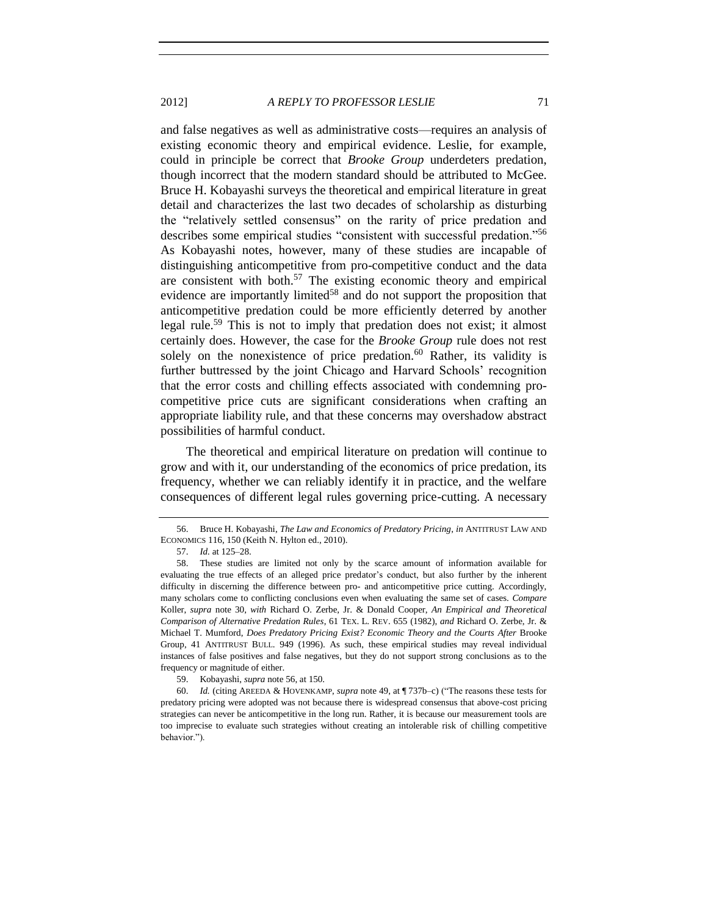<span id="page-11-0"></span>and false negatives as well as administrative costs—requires an analysis of existing economic theory and empirical evidence. Leslie, for example, could in principle be correct that *Brooke Group* underdeters predation, though incorrect that the modern standard should be attributed to McGee. Bruce H. Kobayashi surveys the theoretical and empirical literature in great detail and characterizes the last two decades of scholarship as disturbing the "relatively settled consensus" on the rarity of price predation and describes some empirical studies "consistent with successful predation."<sup>56</sup> As Kobayashi notes, however, many of these studies are incapable of distinguishing anticompetitive from pro-competitive conduct and the data are consistent with both. $57$  The existing economic theory and empirical evidence are importantly limited<sup>58</sup> and do not support the proposition that anticompetitive predation could be more efficiently deterred by another legal rule.<sup>59</sup> This is not to imply that predation does not exist; it almost certainly does. However, the case for the *Brooke Group* rule does not rest solely on the nonexistence of price predation. $60$  Rather, its validity is further buttressed by the joint Chicago and Harvard Schools' recognition that the error costs and chilling effects associated with condemning procompetitive price cuts are significant considerations when crafting an appropriate liability rule, and that these concerns may overshadow abstract possibilities of harmful conduct.

The theoretical and empirical literature on predation will continue to grow and with it, our understanding of the economics of price predation, its frequency, whether we can reliably identify it in practice, and the welfare consequences of different legal rules governing price-cutting. A necessary

<sup>56.</sup> Bruce H. Kobayashi, *The Law and Economics of Predatory Pricing*, *in* ANTITRUST LAW AND ECONOMICS 116, 150 (Keith N. Hylton ed., 2010).

<sup>57.</sup> *Id.* at 125–28.

<sup>58.</sup> These studies are limited not only by the scarce amount of information available for evaluating the true effects of an alleged price predator's conduct, but also further by the inherent difficulty in discerning the difference between pro- and anticompetitive price cutting. Accordingly, many scholars come to conflicting conclusions even when evaluating the same set of cases. *Compare* Koller, *supra* note [30,](#page-5-0) *with* Richard O. Zerbe, Jr. & Donald Cooper, *An Empirical and Theoretical Comparison of Alternative Predation Rules*, 61 TEX. L. REV. 655 (1982), *and* Richard O. Zerbe, Jr. & Michael T. Mumford, *Does Predatory Pricing Exist? Economic Theory and the Courts After* Brooke Group, 41 ANTITRUST BULL. 949 (1996). As such, these empirical studies may reveal individual instances of false positives and false negatives, but they do not support strong conclusions as to the frequency or magnitude of either.

<sup>59.</sup> Kobayashi, *supra* not[e 56,](#page-11-0) at 150.

<sup>60.</sup> *Id.* (citing AREEDA & HOVENKAMP, *supra* note [49,](#page-9-0) at ¶ 737b–c) ("The reasons these tests for predatory pricing were adopted was not because there is widespread consensus that above-cost pricing strategies can never be anticompetitive in the long run. Rather, it is because our measurement tools are too imprecise to evaluate such strategies without creating an intolerable risk of chilling competitive behavior.").